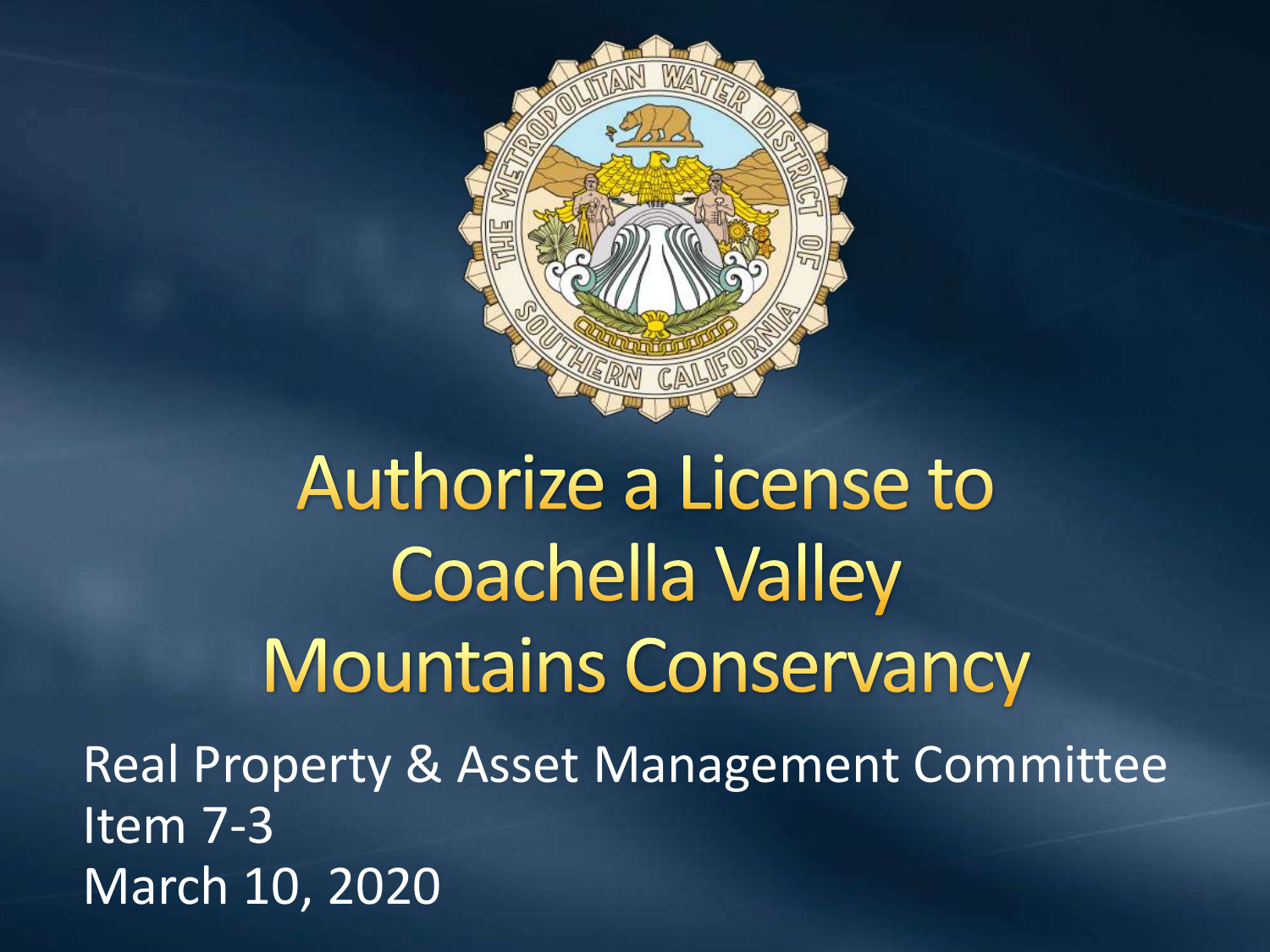

Authorize a License to **Coachella Valley Mountains Conservancy** 

Real Property & Asset Management Committee Item 7-3 March 10, 2020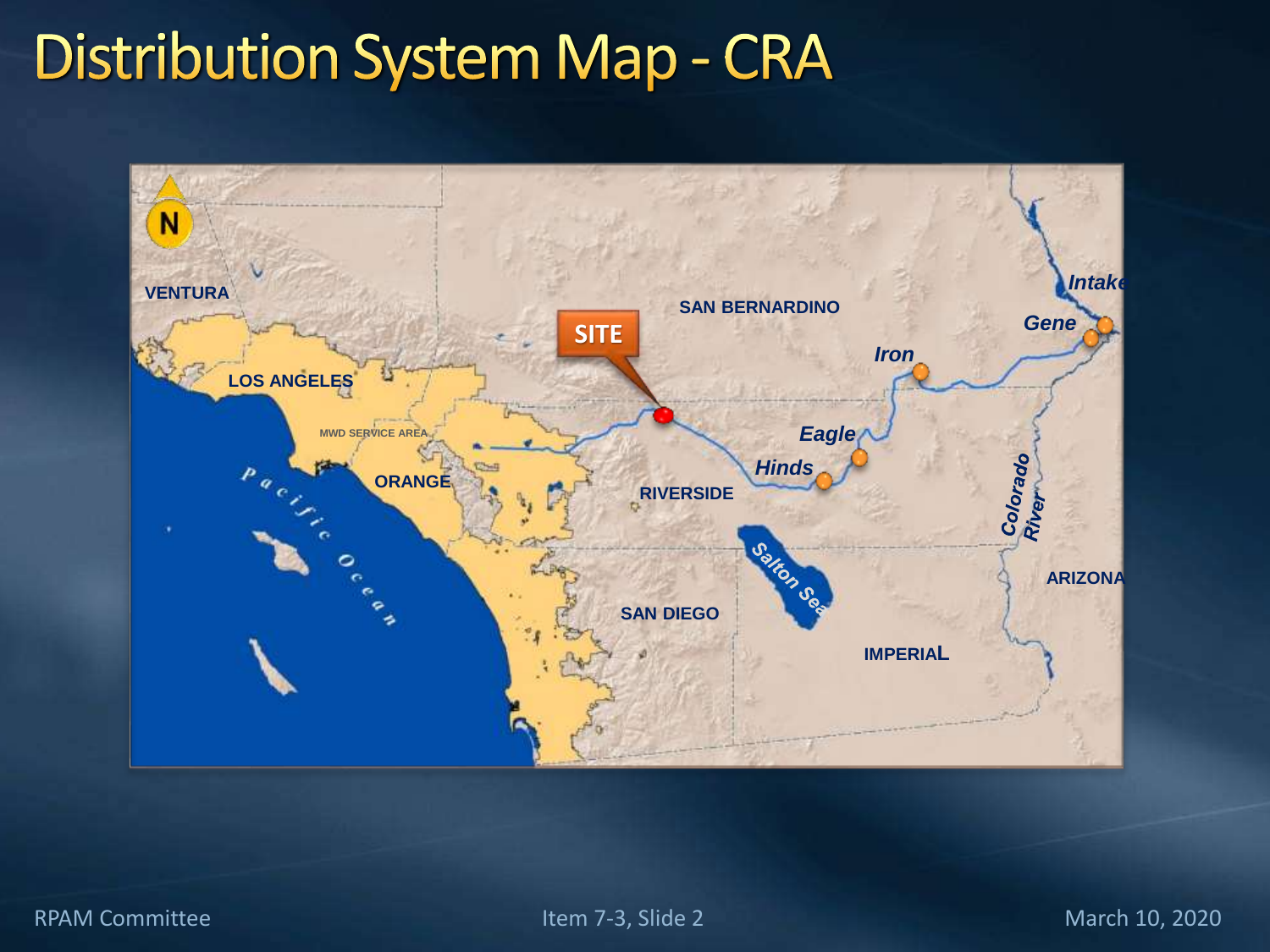### **Distribution System Map - CRA**

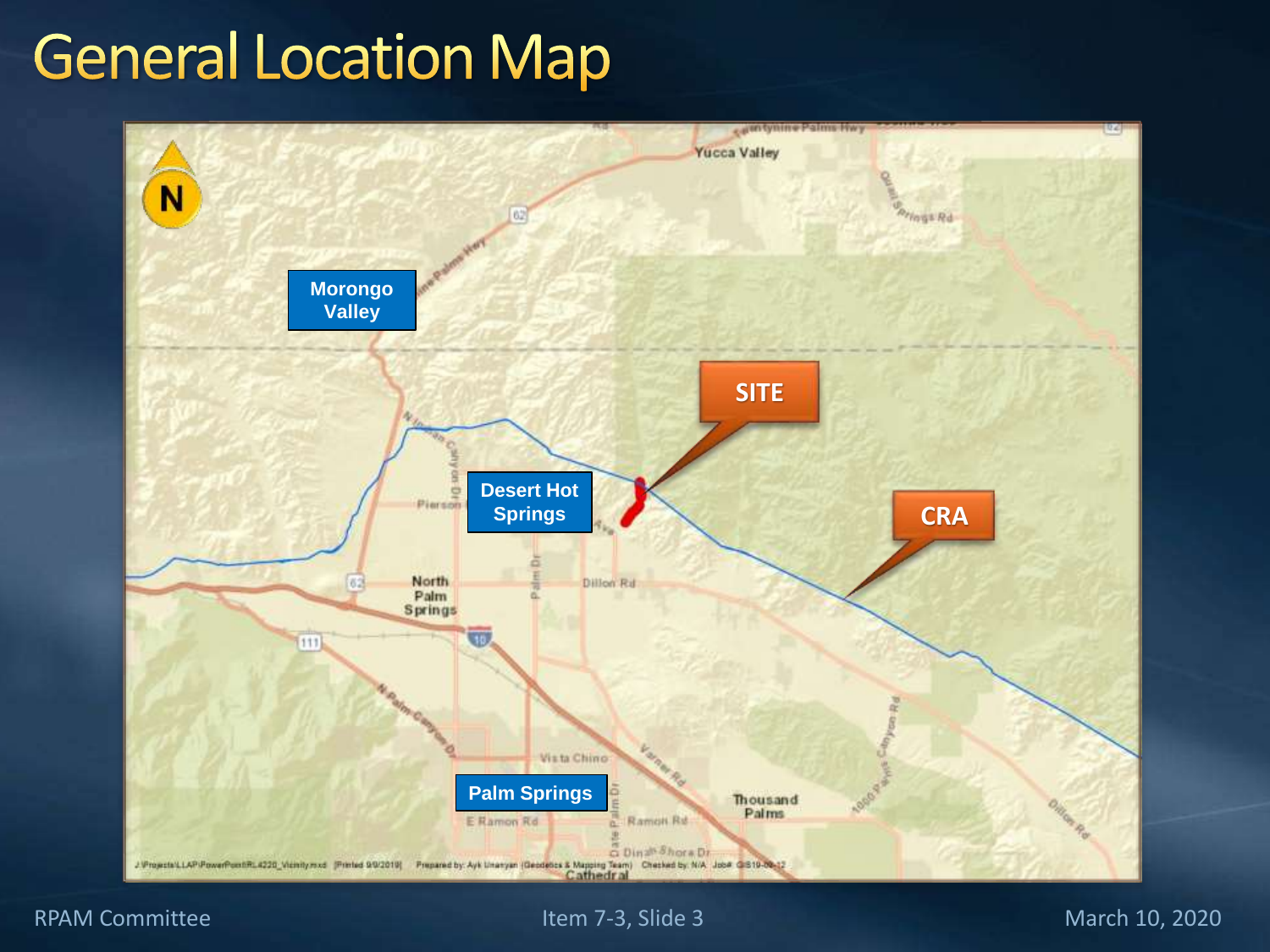### **General Location Map**



#### RPAM Committee Item 7-3, Slide 3 March 10, 2020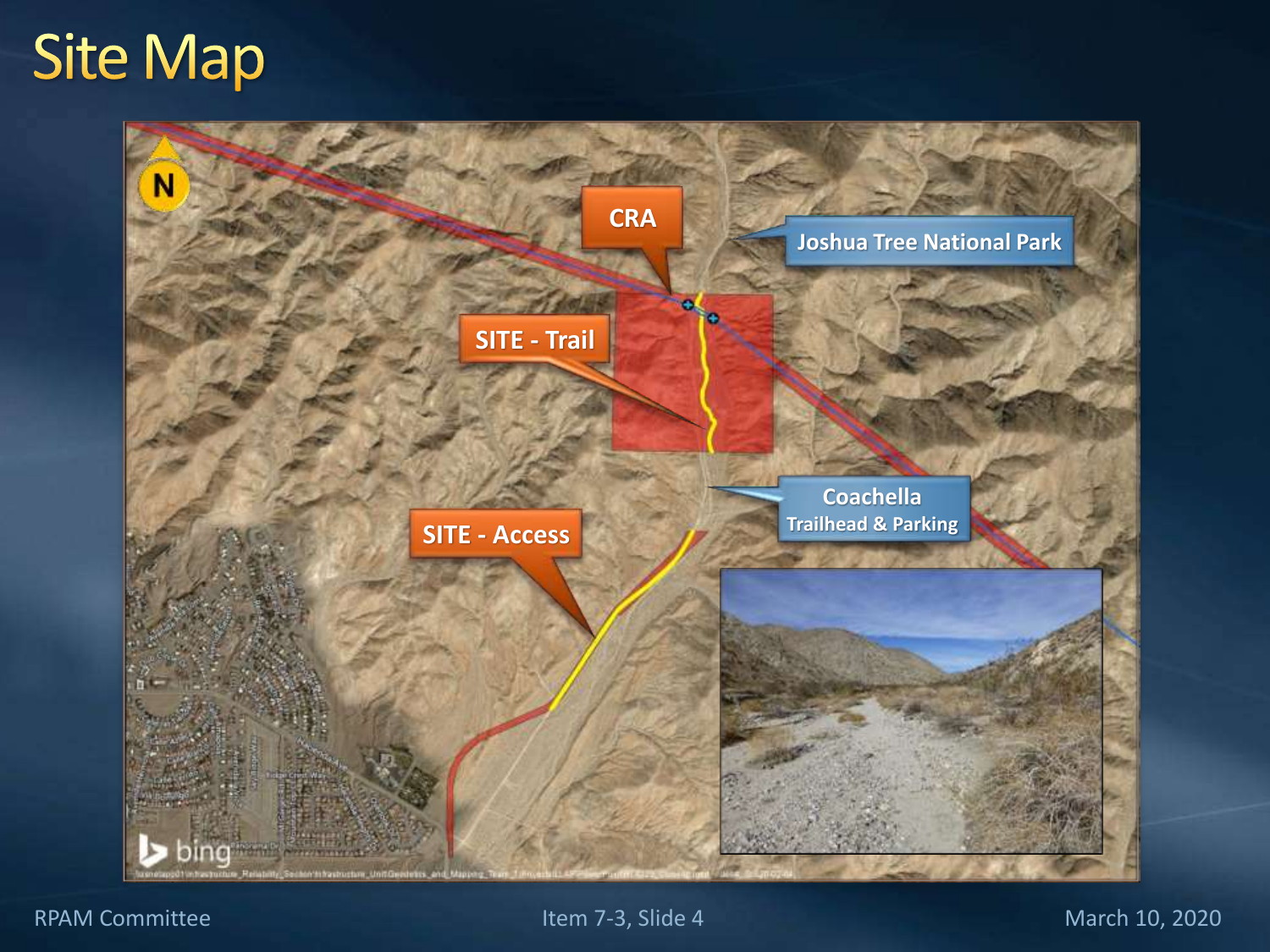### **Site Map**



RPAM Committee Item 7-3, Slide 4 March 10, 2020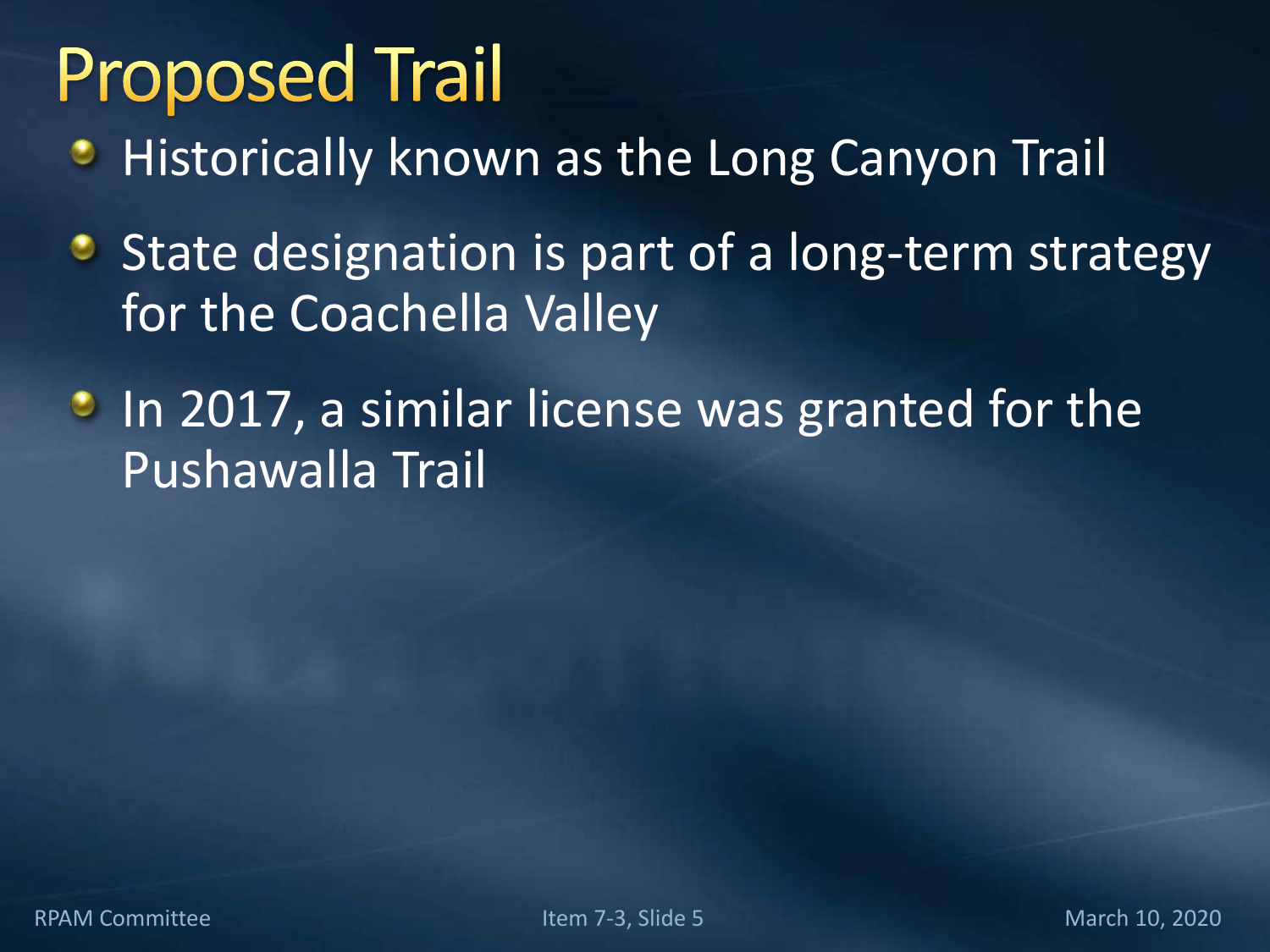## **Proposed Trail**

- **Historically known as the Long Canyon Trail**
- State designation is part of a long-term strategy for the Coachella Valley
- **In 2017, a similar license was granted for the** Pushawalla Trail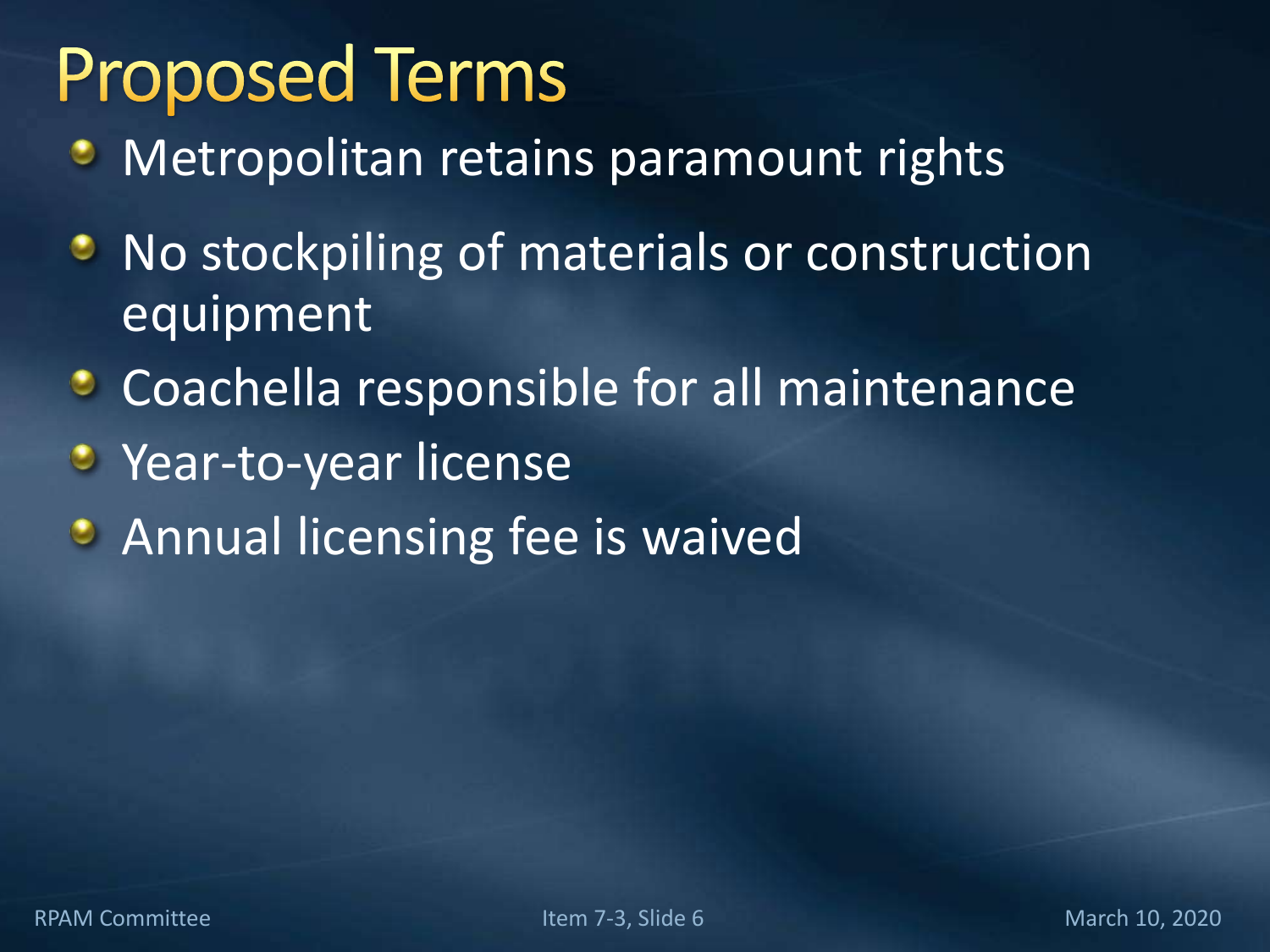## **Proposed Terms**

- Metropolitan retains paramount rights
- **No stockpiling of materials or construction** equipment
- **Coachella responsible for all maintenance**
- **Year-to-year license**
- **Annual licensing fee is waived**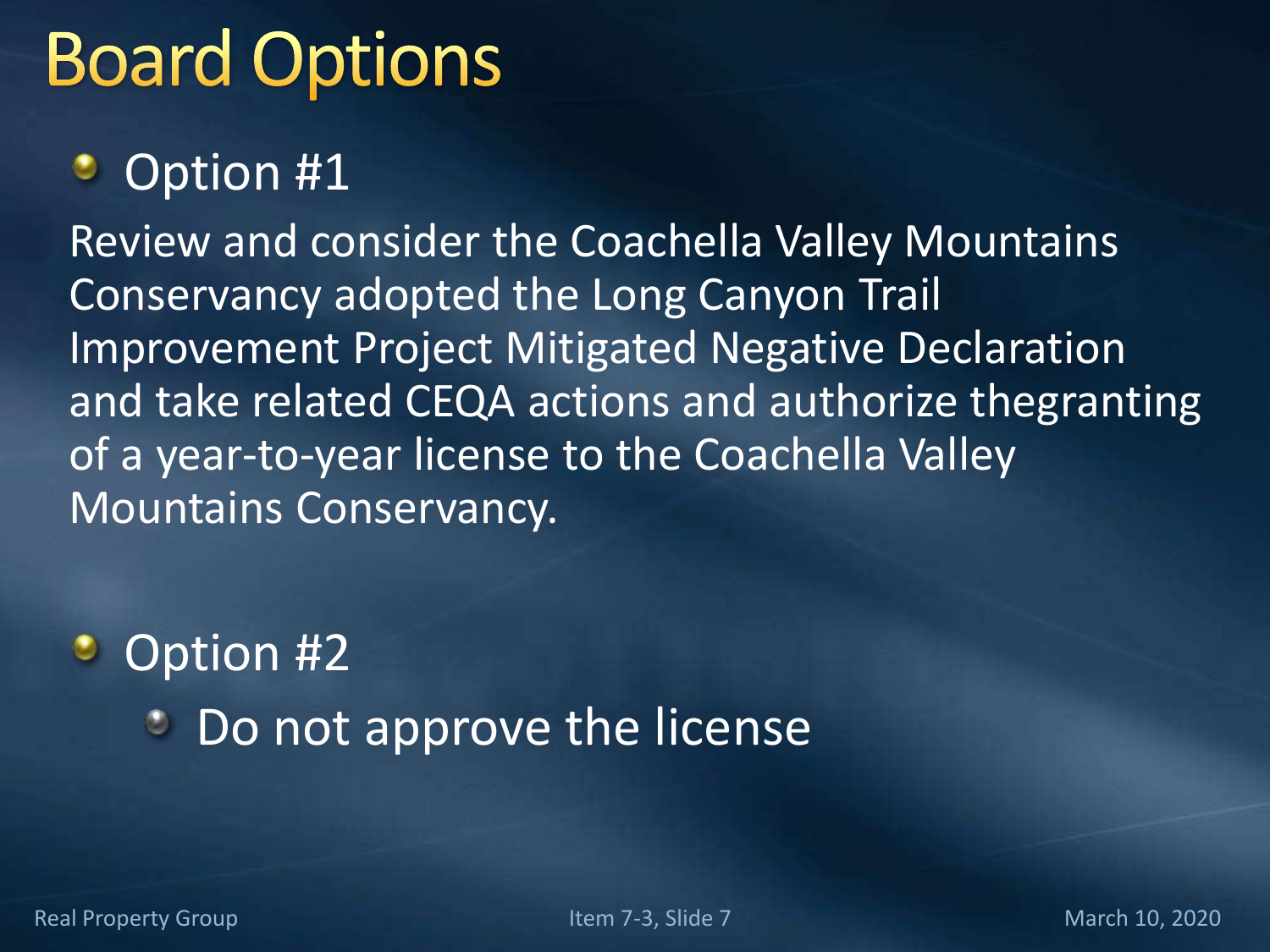## **Board Options**

#### Option #1 ٠

Review and consider the Coachella Valley Mountains Conservancy adopted the Long Canyon Trail Improvement Project Mitigated Negative Declaration and take related CEQA actions and authorize thegranting of a year-to-year license to the Coachella Valley Mountains Conservancy.

### **Option #2 Do not approve the license**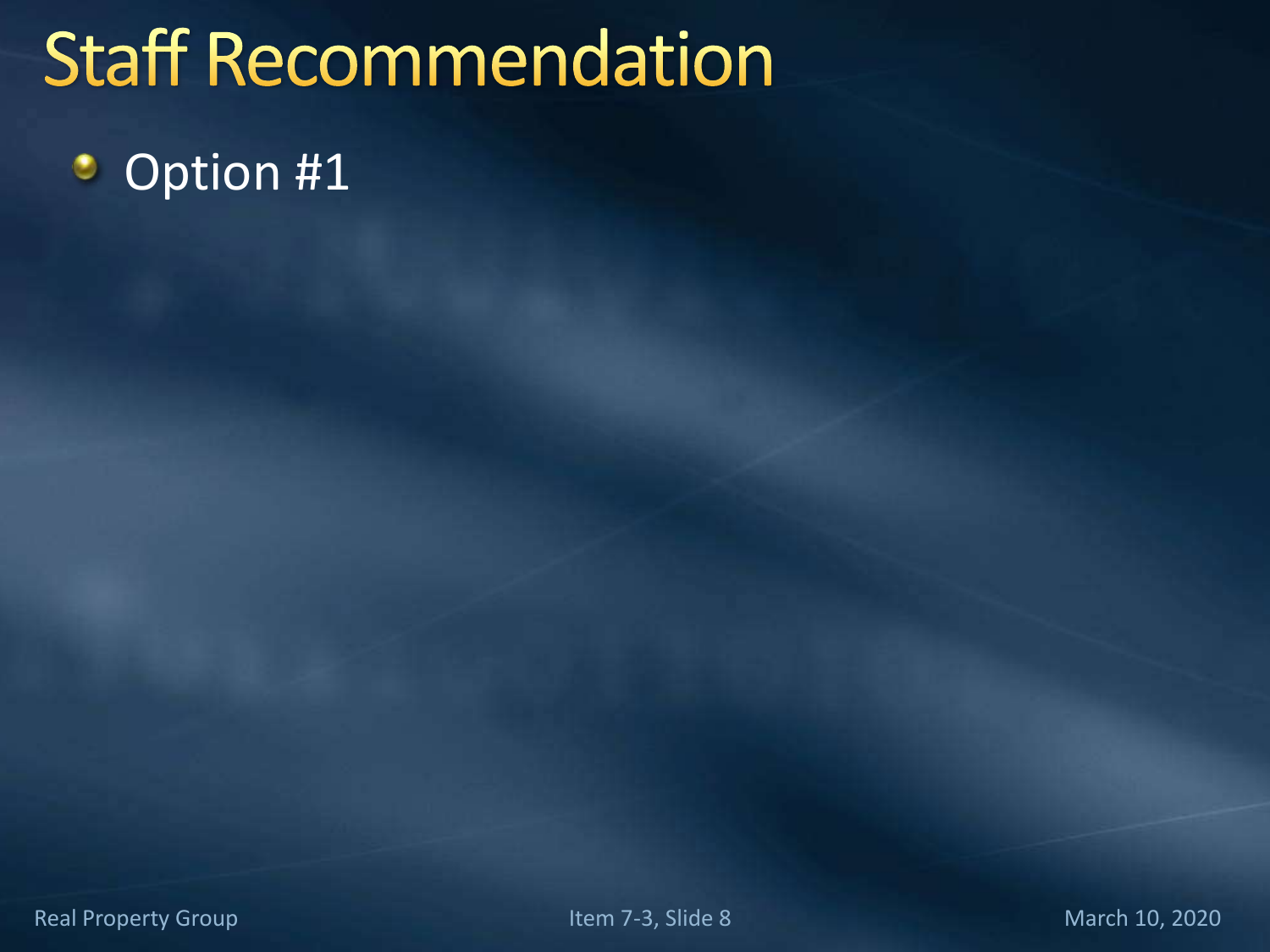# **Staff Recommendation**

#### Option #1۰